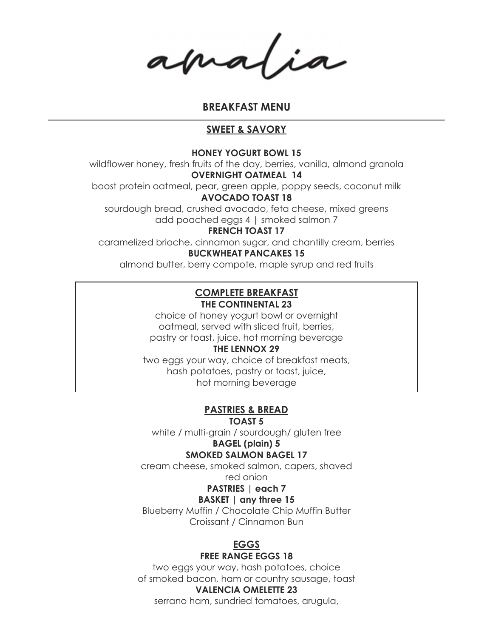amatia

### BREAKFAST MENU

### SWEET & SAVORY

#### HONEY YOGURT BOWL 15

 wildflower honey, fresh fruits of the day, berries, vanilla, almond granola OVERNIGHT OATMEAL 14

boost protein oatmeal, pear, green apple, poppy seeds, coconut milk

#### AVOCADO TOAST 18

 sourdough bread, crushed avocado, feta cheese, mixed greens add poached eggs 4 | smoked salmon 7

#### FRENCH TOAST 17

 caramelized brioche, cinnamon sugar, and chantilly cream, berries BUCKWHEAT PANCAKES 15

almond butter, berry compote, maple syrup and red fruits

### THE CONTINENTAL 23 COMPLETE BREAKFAST

 choice of honey yogurt bowl or overnight oatmeal, served with sliced fruit, berries, pastry or toast, juice, hot morning beverage

### THE LENNOX 29

 two eggs your way, choice of breakfast meats, hash potatoes, pastry or toast, juice, hot morning beverage

### PASTRIES & BREAD

TOAST 5

white / multi-grain / sourdough/ gluten free

# BAGEL (plain) 5

### SMOKED SALMON BAGEL 17

 cream cheese, smoked salmon, capers, shaved red onion

### PASTRIES | each 7

### BASKET | any three 15

 Blueberry Muffin / Chocolate Chip Muffin Butter Croissant / Cinnamon Bun

# EGGS

### FREE RANGE EGGS 18

 two eggs your way, hash potatoes, choice of smoked bacon, ham or country sausage, toast

### VALENCIA OMELETTE 23

serrano ham, sundried tomatoes, arugula,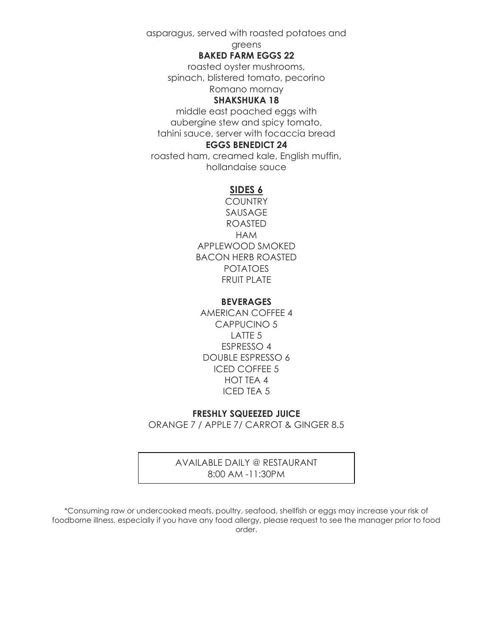asparagus, served with roasted potatoes and

#### greens

#### BAKED FARM EGGS 22

 roasted oyster mushrooms, spinach, blistered tomato, pecorino Romano mornay

### SHAKSHUKA 18

 middle east poached eggs with aubergine stew and spicy tomato, tahini sauce, server with focaccia bread EGGS BENEDICT 24

 roasted ham, creamed kale, English muffin, hollandaise sauce

#### SIDES 6

 APPLEWOOD SMOKED BACON HERB ROASTED FRUIT PLATE **COUNTRY** SAUSAGE ROASTED HAM POTATOES

### BEVERAGES

 AMERICAN COFFEE 4 CAPPUCINO 5 LATTE 5 ESPRESSO 4 DOUBLE ESPRESSO 6 ICED COFFEE 5 HOT TEA 4 ICED TEA 5

#### FRESHLY SQUEEZED JUICE

ORANGE 7 / APPLE 7/ CARROT & GINGER 8.5

### AVAILABLE DAILY @ RESTAURANT 8:00 AM -11:30PM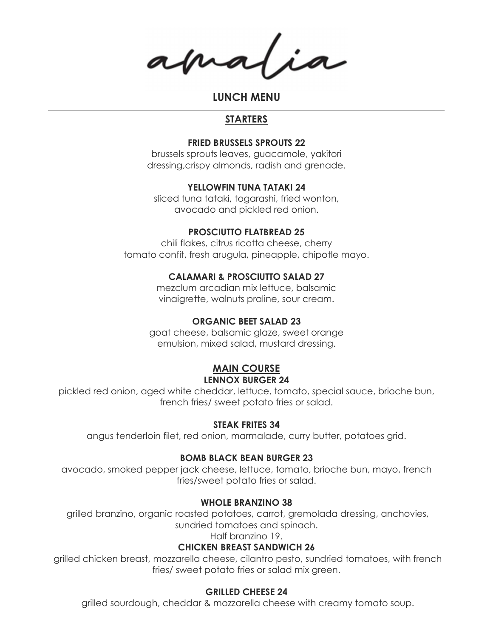amalia

LUNCH MENU

### **STARTERS**

#### FRIED BRUSSELS SPROUTS 22

 brussels sprouts leaves, guacamole, yakitori dressing,crispy almonds, radish and grenade.

### YELLOWFIN TUNA TATAKI 24

 sliced tuna tataki, togarashi, fried wonton, avocado and pickled red onion.

#### PROSCIUTTO FLATBREAD 25

 chili flakes, citrus ricotta cheese, cherry tomato confit, fresh arugula, pineapple, chipotle mayo.

#### CALAMARI & PROSCIUTTO SALAD 27

 mezclum arcadian mix lettuce, balsamic vinaigrette, walnuts praline, sour cream.

#### ORGANIC BEET SALAD 23

 goat cheese, balsamic glaze, sweet orange emulsion, mixed salad, mustard dressing.

### **MAIN COURSE** LENNOX BURGER 24

 pickled red onion, aged white cheddar, lettuce, tomato, special sauce, brioche bun, french fries/ sweet potato fries or salad.

#### STEAK FRITES 34

angus tenderloin filet, red onion, marmalade, curry butter, potatoes grid.

#### BOMB BLACK BEAN BURGER 23

 avocado, smoked pepper jack cheese, lettuce, tomato, brioche bun, mayo, french fries/sweet potato fries or salad.

#### WHOLE BRANZINO 38

 grilled branzino, organic roasted potatoes, carrot, gremolada dressing, anchovies, sundried tomatoes and spinach.

Half branzino 19.

### CHICKEN BREAST SANDWICH 26

 grilled chicken breast, mozzarella cheese, cilantro pesto, sundried tomatoes, with french fries/ sweet potato fries or salad mix green.

### GRILLED CHEESE 24

grilled sourdough, cheddar & mozzarella cheese with creamy tomato soup.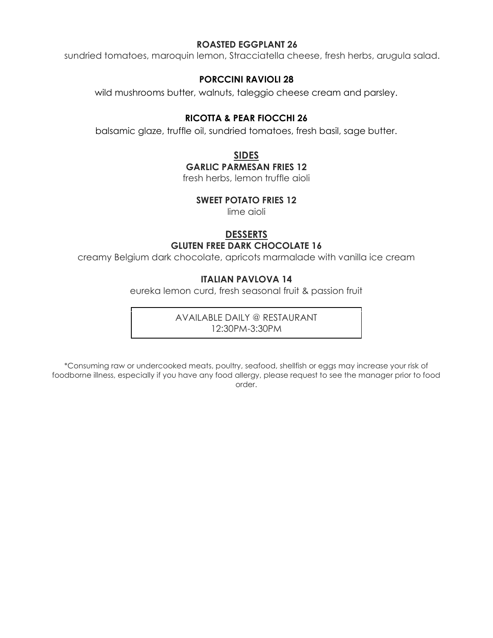### ROASTED EGGPLANT 26

sundried tomatoes, maroquin lemon, Stracciatella cheese, fresh herbs, arugula salad.

### PORCCINI RAVIOLI 28

wild mushrooms butter, walnuts, taleggio cheese cream and parsley.

### RICOTTA & PEAR FIOCCHI 26

balsamic glaze, truffle oil, sundried tomatoes, fresh basil, sage butter.

SIDES

### GARLIC PARMESAN FRIES 12

fresh herbs, lemon truffle aioli

### SWEET POTATO FRIES 12

lime aioli

### **DESSERTS**

### GLUTEN FREE DARK CHOCOLATE 16

creamy Belgium dark chocolate, apricots marmalade with vanilla ice cream

### ITALIAN PAVLOVA 14

eureka lemon curd, fresh seasonal fruit & passion fruit

 AVAILABLE DAILY @ RESTAURANT 12:30PM-3:30PM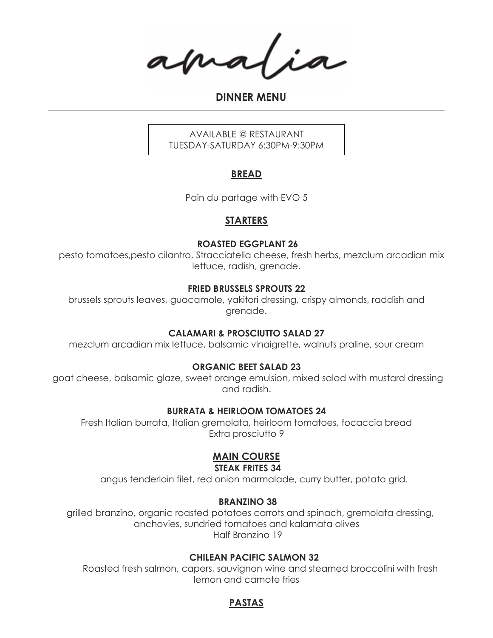amalia

DINNER MENU

 AVAILABLE @ RESTAURANT TUESDAY-SATURDAY 6:30PM-9:30PM

### BREAD

Pain du partage with EVO 5

### **STARTERS**

### ROASTED EGGPLANT 26

 pesto tomatoes,pesto cilantro, Stracciatella cheese, fresh herbs, mezclum arcadian mix lettuce, radish, grenade.

### FRIED BRUSSELS SPROUTS 22

 brussels sprouts leaves, guacamole, yakitori dressing, crispy almonds, raddish and grenade.

### CALAMARI & PROSCIUTTO SALAD 27

mezclum arcadian mix lettuce, balsamic vinaigrette, walnuts praline, sour cream

### ORGANIC BEET SALAD 23

 goat cheese, balsamic glaze, sweet orange emulsion, mixed salad with mustard dressing and radish.

### BURRATA & HEIRLOOM TOMATOES 24

 Fresh Italian burrata, Italian gremolata, heirloom tomatoes, focaccia bread Extra prosciutto 9

### **MAIN COURSE** STEAK FRITES 34

angus tenderloin filet, red onion marmalade, curry butter, potato grid.

### BRANZINO 38

 grilled branzino, organic roasted potatoes carrots and spinach, gremolata dressing, anchovies, sundried tomatoes and kalamata olives Half Branzino 19

### CHILEAN PACIFIC SALMON 32

 Roasted fresh salmon, capers, sauvignon wine and steamed broccolini with fresh lemon and camote fries

### PASTAS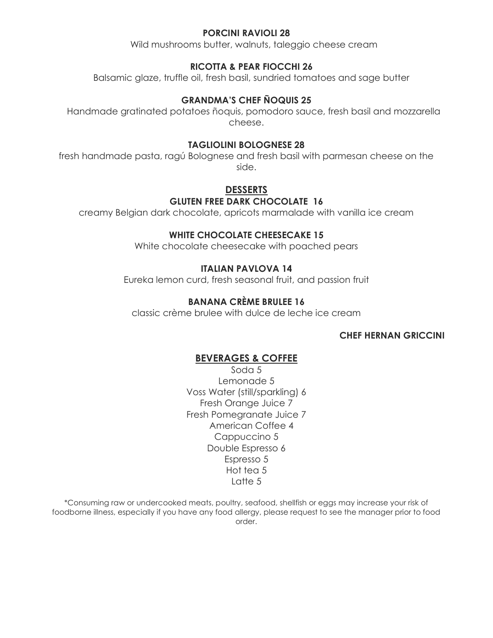### PORCINI RAVIOLI 28

Wild mushrooms butter, walnuts, taleggio cheese cream

### RICOTTA & PEAR FIOCCHI 26

Balsamic glaze, truffle oil, fresh basil, sundried tomatoes and sage butter

### GRANDMA'S CHEF ÑOQUIS 25

 Handmade gratinated potatoes ñoquis, pomodoro sauce, fresh basil and mozzarella cheese.

#### TAGLIOLINI BOLOGNESE 28

 fresh handmade pasta, ragú Bolognese and fresh basil with parmesan cheese on the side.

## **DESSERTS**

#### GLUTEN FREE DARK CHOCOLATE 16

creamy Belgian dark chocolate, apricots marmalade with vanilla ice cream

#### WHITE CHOCOLATE CHEESECAKE 15

White chocolate cheesecake with poached pears

### ITALIAN PAVLOVA 14

Eureka lemon curd, fresh seasonal fruit, and passion fruit

### BANANA CRÈME BRULEE 16

classic crème brulee with dulce de leche ice cream

#### CHEF HERNAN GRICCINI

#### BEVERAGES & COFFEE

 Soda 5 Lemonade 5 Voss Water (still/sparkling) 6 Fresh Orange Juice 7 Fresh Pomegranate Juice 7 American Coffee 4 Cappuccino 5 Double Espresso 6 Espresso 5 Hot tea 5 Latte 5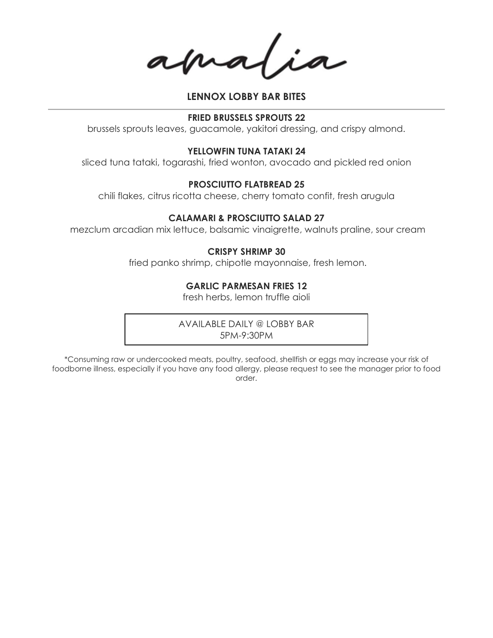apra

### LENNOX LOBBY BAR BITES

#### FRIED BRUSSELS SPROUTS 22

brussels sprouts leaves, guacamole, yakitori dressing, and crispy almond.

#### YELLOWFIN TUNA TATAKI 24

sliced tuna tataki, togarashi, fried wonton, avocado and pickled red onion

#### PROSCIUTTO FLATBREAD 25

chili flakes, citrus ricotta cheese, cherry tomato confit, fresh arugula

#### CALAMARI & PROSCIUTTO SALAD 27

mezclum arcadian mix lettuce, balsamic vinaigrette, walnuts praline, sour cream

#### CRISPY SHRIMP 30

fried panko shrimp, chipotle mayonnaise, fresh lemon.

#### GARLIC PARMESAN FRIES 12

fresh herbs, lemon truffle aioli

 AVAILABLE DAILY @ LOBBY BAR 5PM-9:30PM